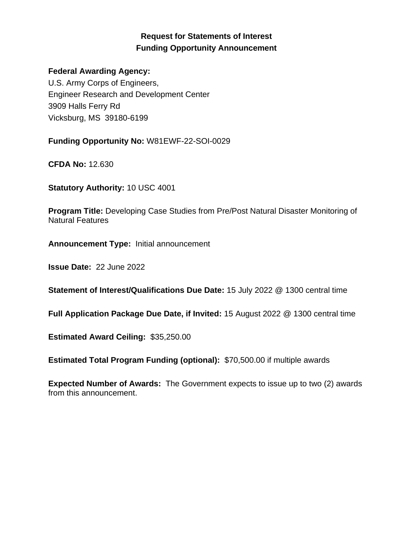# **Request for Statements of Interest Funding Opportunity Announcement**

#### **Federal Awarding Agency:**

U.S. Army Corps of Engineers, Engineer Research and Development Center 3909 Halls Ferry Rd Vicksburg, MS 39180-6199

**Funding Opportunity No:** W81EWF-22-SOI-0029

**CFDA No:** 12.630

**Statutory Authority:** 10 USC 4001

**Program Title:** Developing Case Studies from Pre/Post Natural Disaster Monitoring of Natural Features

**Announcement Type:** Initial announcement

**Issue Date:** 22 June 2022

**Statement of Interest/Qualifications Due Date:** 15 July 2022 @ 1300 central time

**Full Application Package Due Date, if Invited:** 15 August 2022 @ 1300 central time

**Estimated Award Ceiling:** \$35,250.00

**Estimated Total Program Funding (optional):** \$70,500.00 if multiple awards

**Expected Number of Awards:** The Government expects to issue up to two (2) awards from this announcement.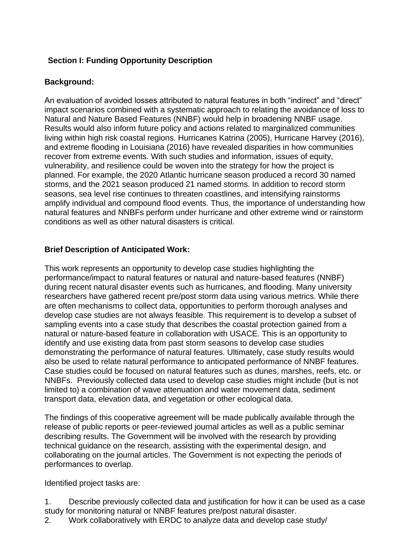## **Section I: Funding Opportunity Description**

## **Background:**

An evaluation of avoided losses attributed to natural features in both "indirect" and "direct" impact scenarios combined with a systematic approach to relating the avoidance of loss to Natural and Nature Based Features (NNBF) would help in broadening NNBF usage. Results would also inform future policy and actions related to marginalized communities living within high risk coastal regions. Hurricanes Katrina (2005), Hurricane Harvey (2016), and extreme flooding in Louisiana (2016) have revealed disparities in how communities recover from extreme events. With such studies and information, issues of equity, vulnerability, and resilience could be woven into the strategy for how the project is planned. For example, the 2020 Atlantic hurricane season produced a record 30 named storms, and the 2021 season produced 21 named storms. In addition to record storm seasons, sea level rise continues to threaten coastlines, and intensifying rainstorms amplify individual and compound flood events. Thus, the importance of understanding how natural features and NNBFs perform under hurricane and other extreme wind or rainstorm conditions as well as other natural disasters is critical.

## **Brief Description of Anticipated Work:**

This work represents an opportunity to develop case studies highlighting the performance/impact to natural features or natural and nature-based features (NNBF) during recent natural disaster events such as hurricanes, and flooding. Many university researchers have gathered recent pre/post storm data using various metrics. While there are often mechanisms to collect data, opportunities to perform thorough analyses and develop case studies are not always feasible. This requirement is to develop a subset of sampling events into a case study that describes the coastal protection gained from a natural or nature-based feature in collaboration with USACE. This is an opportunity to identify and use existing data from past storm seasons to develop case studies demonstrating the performance of natural features. Ultimately, case study results would also be used to relate natural performance to anticipated performance of NNBF features. Case studies could be focused on natural features such as dunes, marshes, reefs, etc. or NNBFs. Previously collected data used to develop case studies might include (but is not limited to) a combination of wave attenuation and water movement data, sediment transport data, elevation data, and vegetation or other ecological data.

The findings of this cooperative agreement will be made publically available through the release of public reports or peer-reviewed journal articles as well as a public seminar describing results. The Government will be involved with the research by providing technical guidance on the research, assisting with the experimental design, and collaborating on the journal articles. The Government is not expecting the periods of performances to overlap.

Identified project tasks are:

1. Describe previously collected data and justification for how it can be used as a case study for monitoring natural or NNBF features pre/post natural disaster. 2. Work collaboratively with ERDC to analyze data and develop case study/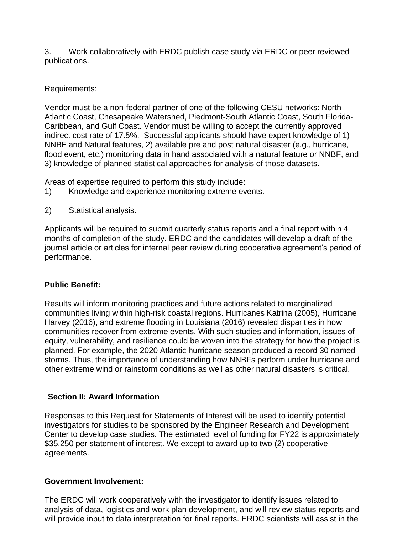3. Work collaboratively with ERDC publish case study via ERDC or peer reviewed publications.

Requirements:

Vendor must be a non-federal partner of one of the following CESU networks: North Atlantic Coast, Chesapeake Watershed, Piedmont-South Atlantic Coast, South Florida-Caribbean, and Gulf Coast. Vendor must be willing to accept the currently approved indirect cost rate of 17.5%. Successful applicants should have expert knowledge of 1) NNBF and Natural features, 2) available pre and post natural disaster (e.g., hurricane, flood event, etc.) monitoring data in hand associated with a natural feature or NNBF, and 3) knowledge of planned statistical approaches for analysis of those datasets.

Areas of expertise required to perform this study include:

- 1) Knowledge and experience monitoring extreme events.
- 2) Statistical analysis.

Applicants will be required to submit quarterly status reports and a final report within 4 months of completion of the study. ERDC and the candidates will develop a draft of the journal article or articles for internal peer review during cooperative agreement's period of performance.

## **Public Benefit:**

Results will inform monitoring practices and future actions related to marginalized communities living within high-risk coastal regions. Hurricanes Katrina (2005), Hurricane Harvey (2016), and extreme flooding in Louisiana (2016) revealed disparities in how communities recover from extreme events. With such studies and information, issues of equity, vulnerability, and resilience could be woven into the strategy for how the project is planned. For example, the 2020 Atlantic hurricane season produced a record 30 named storms. Thus, the importance of understanding how NNBFs perform under hurricane and other extreme wind or rainstorm conditions as well as other natural disasters is critical.

## **Section II: Award Information**

Responses to this Request for Statements of Interest will be used to identify potential investigators for studies to be sponsored by the Engineer Research and Development Center to develop case studies. The estimated level of funding for FY22 is approximately \$35,250 per statement of interest. We except to award up to two (2) cooperative agreements.

#### **Government Involvement:**

The ERDC will work cooperatively with the investigator to identify issues related to analysis of data, logistics and work plan development, and will review status reports and will provide input to data interpretation for final reports. ERDC scientists will assist in the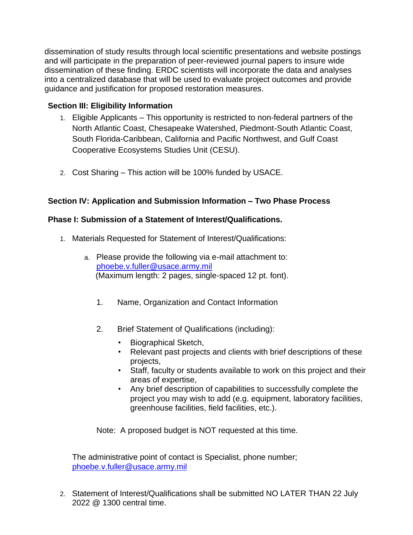dissemination of study results through local scientific presentations and website postings and will participate in the preparation of peer-reviewed journal papers to insure wide dissemination of these finding. ERDC scientists will incorporate the data and analyses into a centralized database that will be used to evaluate project outcomes and provide guidance and justification for proposed restoration measures.

## **Section III: Eligibility Information**

- 1. Eligible Applicants This opportunity is restricted to non-federal partners of the North Atlantic Coast, Chesapeake Watershed, Piedmont-South Atlantic Coast, South Florida-Caribbean, California and Pacific Northwest, and Gulf Coast Cooperative Ecosystems Studies Unit (CESU).
- 2. Cost Sharing This action will be 100% funded by USACE.

## **Section IV: Application and Submission Information – Two Phase Process**

#### **Phase I: Submission of a Statement of Interest/Qualifications.**

- 1. Materials Requested for Statement of Interest/Qualifications:
	- a. Please provide the following via e-mail attachment to: [phoebe.v.fuller@usace.army.mil](mailto:phoebe.v.fuller@usace.army.mil) (Maximum length: 2 pages, single-spaced 12 pt. font).
		- 1. Name, Organization and Contact Information
		- 2. Brief Statement of Qualifications (including):
			- Biographical Sketch,
			- Relevant past projects and clients with brief descriptions of these projects,
			- Staff, faculty or students available to work on this project and their areas of expertise,
			- Any brief description of capabilities to successfully complete the project you may wish to add (e.g. equipment, laboratory facilities, greenhouse facilities, field facilities, etc.).

Note: A proposed budget is NOT requested at this time.

The administrative point of contact is Specialist, phone number; [phoebe.v.fuller@usace.army.mil](mailto:phoebe.v.fuller@usace.army.mil)

2. Statement of Interest/Qualifications shall be submitted NO LATER THAN 22 July 2022 @ 1300 central time.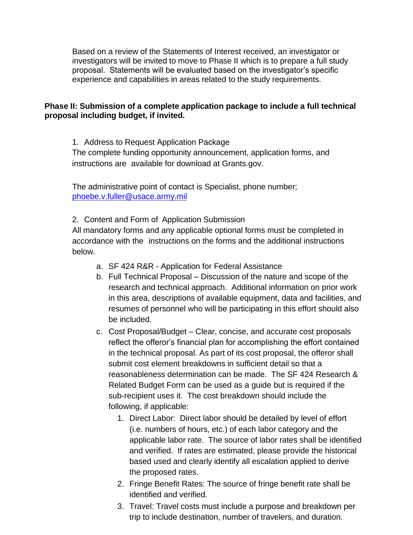Based on a review of the Statements of Interest received, an investigator or investigators will be invited to move to Phase II which is to prepare a full study proposal. Statements will be evaluated based on the investigator's specific experience and capabilities in areas related to the study requirements.

#### **Phase II: Submission of a complete application package to include a full technical proposal including budget, if invited.**

1. Address to Request Application Package The complete funding opportunity announcement, application forms, and instructions are available for download at Grants.gov.

The administrative point of contact is Specialist, phone number; [phoebe.v.fuller@usace.army.mil](mailto:phoebe.v.fuller@usace.army.mil)

2. Content and Form of Application Submission

All mandatory forms and any applicable optional forms must be completed in accordance with the instructions on the forms and the additional instructions below.

- a. SF 424 R&R Application for Federal Assistance
- b. Full Technical Proposal Discussion of the nature and scope of the research and technical approach. Additional information on prior work in this area, descriptions of available equipment, data and facilities, and resumes of personnel who will be participating in this effort should also be included.
- c. Cost Proposal/Budget Clear, concise, and accurate cost proposals reflect the offeror's financial plan for accomplishing the effort contained in the technical proposal. As part of its cost proposal, the offeror shall submit cost element breakdowns in sufficient detail so that a reasonableness determination can be made. The SF 424 Research & Related Budget Form can be used as a guide but is required if the sub-recipient uses it. The cost breakdown should include the following, if applicable:
	- 1. Direct Labor: Direct labor should be detailed by level of effort (i.e. numbers of hours, etc.) of each labor category and the applicable labor rate. The source of labor rates shall be identified and verified. If rates are estimated, please provide the historical based used and clearly identify all escalation applied to derive the proposed rates.
	- 2. Fringe Benefit Rates: The source of fringe benefit rate shall be identified and verified.
	- 3. Travel: Travel costs must include a purpose and breakdown per trip to include destination, number of travelers, and duration.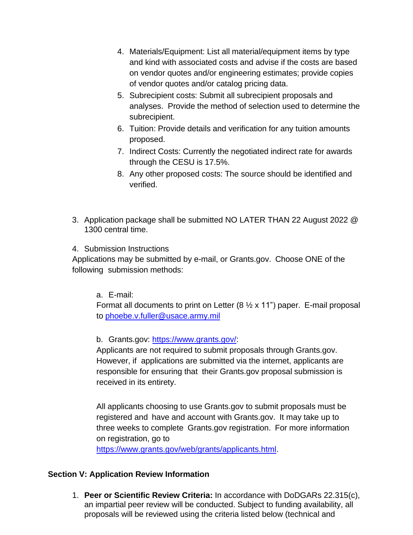- 4. Materials/Equipment: List all material/equipment items by type and kind with associated costs and advise if the costs are based on vendor quotes and/or engineering estimates; provide copies of vendor quotes and/or catalog pricing data.
- 5. Subrecipient costs: Submit all subrecipient proposals and analyses. Provide the method of selection used to determine the subrecipient.
- 6. Tuition: Provide details and verification for any tuition amounts proposed.
- 7. Indirect Costs: Currently the negotiated indirect rate for awards through the CESU is 17.5%.
- 8. Any other proposed costs: The source should be identified and verified.
- 3. Application package shall be submitted NO LATER THAN 22 August 2022 @ 1300 central time.
- 4. Submission Instructions

Applications may be submitted by e-mail, or Grants.gov. Choose ONE of the following submission methods:

a. E-mail:

Format all documents to print on Letter  $(8 \times x 11)$  paper. E-mail proposal to [phoebe.v.fuller@usace.army.mil](mailto:phoebe.v.fuller@usace.army.mil)

b. Grants.gov: [https://www.grants.gov/:](https://www.grants.gov/)

Applicants are not required to submit proposals through Grants.gov. However, if applications are submitted via the internet, applicants are responsible for ensuring that their Grants.gov proposal submission is received in its entirety.

All applicants choosing to use Grants.gov to submit proposals must be registered and have and account with Grants.gov. It may take up to three weeks to complete Grants.gov registration. For more information on registration, go to

[https://www.grants.gov/web/grants/applicants.html.](https://www.grants.gov/web/grants/applicants.html)

#### **Section V: Application Review Information**

1. **Peer or Scientific Review Criteria:** In accordance with DoDGARs 22.315(c), an impartial peer review will be conducted. Subject to funding availability, all proposals will be reviewed using the criteria listed below (technical and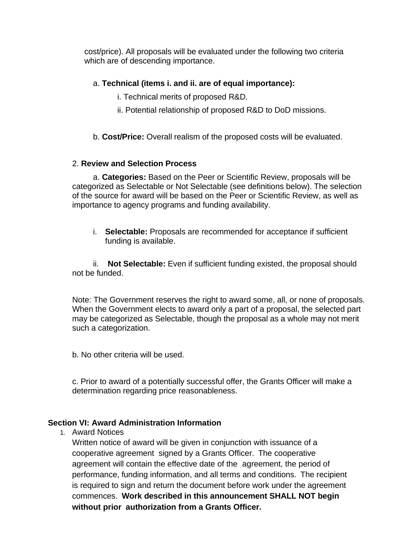cost/price). All proposals will be evaluated under the following two criteria which are of descending importance.

## a. **Technical (items i. and ii. are of equal importance):**

- i. Technical merits of proposed R&D.
- ii. Potential relationship of proposed R&D to DoD missions.
- b. **Cost/Price:** Overall realism of the proposed costs will be evaluated.

## 2. **Review and Selection Process**

a. **Categories:** Based on the Peer or Scientific Review, proposals will be categorized as Selectable or Not Selectable (see definitions below). The selection of the source for award will be based on the Peer or Scientific Review, as well as importance to agency programs and funding availability.

i. **Selectable:** Proposals are recommended for acceptance if sufficient funding is available.

ii. **Not Selectable:** Even if sufficient funding existed, the proposal should not be funded.

Note: The Government reserves the right to award some, all, or none of proposals. When the Government elects to award only a part of a proposal, the selected part may be categorized as Selectable, though the proposal as a whole may not merit such a categorization.

b. No other criteria will be used.

c. Prior to award of a potentially successful offer, the Grants Officer will make a determination regarding price reasonableness.

#### **Section VI: Award Administration Information**

1. Award Notices

Written notice of award will be given in conjunction with issuance of a cooperative agreement signed by a Grants Officer. The cooperative agreement will contain the effective date of the agreement, the period of performance, funding information, and all terms and conditions. The recipient is required to sign and return the document before work under the agreement commences. **Work described in this announcement SHALL NOT begin without prior authorization from a Grants Officer.**